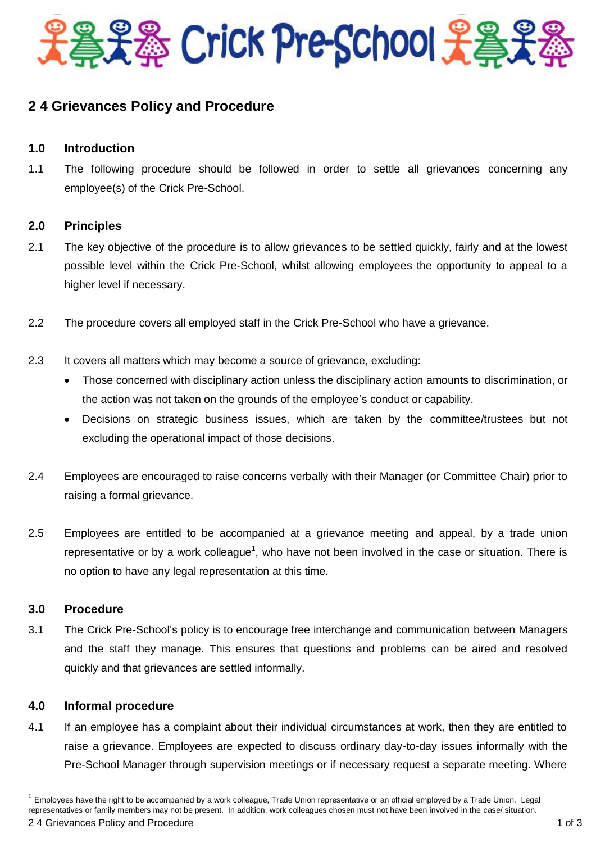

# **2 4 Grievances Policy and Procedure**

## **1.0 Introduction**

1.1 The following procedure should be followed in order to settle all grievances concerning any employee(s) of the Crick Pre-School.

#### **2.0 Principles**

- 2.1 The key objective of the procedure is to allow grievances to be settled quickly, fairly and at the lowest possible level within the Crick Pre-School, whilst allowing employees the opportunity to appeal to a higher level if necessary.
- 2.2 The procedure covers all employed staff in the Crick Pre-School who have a grievance.
- 2.3 It covers all matters which may become a source of grievance, excluding:
	- Those concerned with disciplinary action unless the disciplinary action amounts to discrimination, or the action was not taken on the grounds of the employee's conduct or capability.
	- Decisions on strategic business issues, which are taken by the committee/trustees but not excluding the operational impact of those decisions.
- 2.4 Employees are encouraged to raise concerns verbally with their Manager (or Committee Chair) prior to raising a formal grievance.
- 2.5 Employees are entitled to be accompanied at a grievance meeting and appeal, by a trade union representative or by a work colleague<sup>1</sup>, who have not been involved in the case or situation. There is no option to have any legal representation at this time.

#### **3.0 Procedure**

 $\overline{a}$ 

3.1 The Crick Pre-School's policy is to encourage free interchange and communication between Managers and the staff they manage. This ensures that questions and problems can be aired and resolved quickly and that grievances are settled informally.

### **4.0 Informal procedure**

4.1 If an employee has a complaint about their individual circumstances at work, then they are entitled to raise a grievance. Employees are expected to discuss ordinary day-to-day issues informally with the Pre-School Manager through supervision meetings or if necessary request a separate meeting. Where

<sup>1</sup> Employees have the right to be accompanied by a work colleague, Trade Union representative or an official employed by a Trade Union. Legal representatives or family members may not be present. In addition, work colleagues chosen must not have been involved in the case/ situation.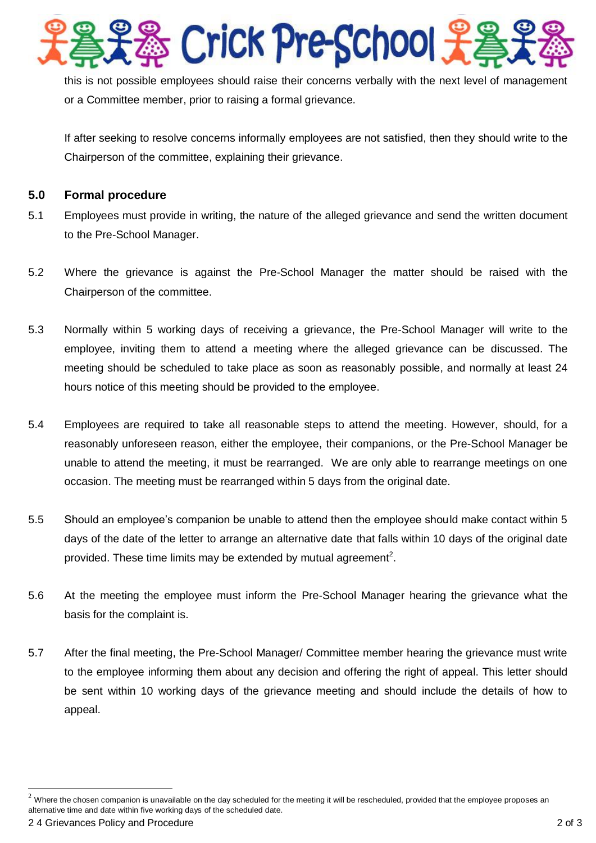s Crick Pre-School 光

this is not possible employees should raise their concerns verbally with the next level of management or a Committee member, prior to raising a formal grievance.

If after seeking to resolve concerns informally employees are not satisfied, then they should write to the Chairperson of the committee, explaining their grievance.

## **5.0 Formal procedure**

- 5.1 Employees must provide in writing, the nature of the alleged grievance and send the written document to the Pre-School Manager.
- 5.2 Where the grievance is against the Pre-School Manager the matter should be raised with the Chairperson of the committee.
- 5.3 Normally within 5 working days of receiving a grievance, the Pre-School Manager will write to the employee, inviting them to attend a meeting where the alleged grievance can be discussed. The meeting should be scheduled to take place as soon as reasonably possible, and normally at least 24 hours notice of this meeting should be provided to the employee.
- 5.4 Employees are required to take all reasonable steps to attend the meeting. However, should, for a reasonably unforeseen reason, either the employee, their companions, or the Pre-School Manager be unable to attend the meeting, it must be rearranged. We are only able to rearrange meetings on one occasion. The meeting must be rearranged within 5 days from the original date.
- 5.5 Should an employee's companion be unable to attend then the employee should make contact within 5 days of the date of the letter to arrange an alternative date that falls within 10 days of the original date provided. These time limits may be extended by mutual agreement<sup>2</sup>.
- 5.6 At the meeting the employee must inform the Pre-School Manager hearing the grievance what the basis for the complaint is.
- 5.7 After the final meeting, the Pre-School Manager/ Committee member hearing the grievance must write to the employee informing them about any decision and offering the right of appeal. This letter should be sent within 10 working days of the grievance meeting and should include the details of how to appeal.

 $\overline{a}$ 

 $2$  Where the chosen companion is unavailable on the day scheduled for the meeting it will be rescheduled, provided that the employee proposes an alternative time and date within five working days of the scheduled date.

<sup>2.4</sup> Grievances Policy and Procedure 2 of 3